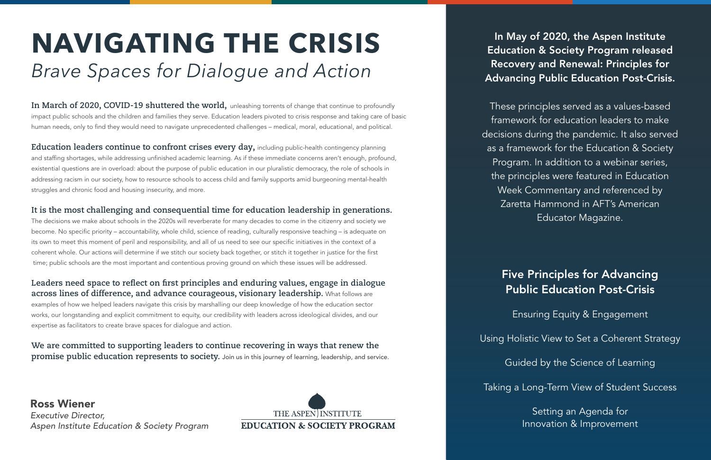In May of 2020, the Aspen Institute Education & Society Program released Recovery and Renewal: Principles for Advancing Public Education Post-Crisis.

These principles served as a values-based framework for education leaders to make decisions during the pandemic. It also served as a framework for the Education & Society Program. In addition to a webinar series, the principles were featured in Education Week Commentary and referenced by Zaretta Hammond in AFT's American Educator Magazine.

# Five Principles for Advancing Public Education Post-Crisis

Ensuring Equity & Engagement

Using Holistic View to Set a Coherent Strategy

Guided by the Science of Learning

Taking a Long-Term View of Student Success

Setting an Agenda for Innovation & Improvement

**In March of 2020, COVID-19 shuttered the world,** unleashing torrents of change that continue to profoundly impact public schools and the children and families they serve. Education leaders pivoted to crisis response and taking care of basic human needs, only to find they would need to navigate unprecedented challenges – medical, moral, educational, and political.

**Education leaders continue to confront crises every day,** including public-health contingency planning and staffing shortages, while addressing unfinished academic learning. As if these immediate concerns aren't enough, profound, existential questions are in overload: about the purpose of public education in our pluralistic democracy, the role of schools in addressing racism in our society, how to resource schools to access child and family supports amid burgeoning mental-health struggles and chronic food and housing insecurity, and more.

## **It is the most challenging and consequential time for education leadership in generations.**

The decisions we make about schools in the 2020s will reverberate for many decades to come in the citizenry and society we become. No specific priority – accountability, whole child, science of reading, culturally responsive teaching – is adequate on its own to meet this moment of peril and responsibility, and all of us need to see our specific initiatives in the context of a coherent whole. Our actions will determine if we stitch our society back together, or stitch it together in justice for the first time; public schools are the most important and contentious proving ground on which these issues will be addressed.

## **Leaders need space to reflect on first principles and enduring values, engage in dialogue across lines of difference, and advance courageous, visionary leadership.** What follows are

examples of how we helped leaders navigate this crisis by marshalling our deep knowledge of how the education sector works, our longstanding and explicit commitment to equity, our credibility with leaders across ideological divides, and our expertise as facilitators to create brave spaces for dialogue and action.

**We are committed to supporting leaders to continue recovering in ways that renew the promise public education represents to society.** Join us in this journey of learning, leadership, and service.

# **NAVIGATING THE CRISIS**  *Brave Spaces for Dialogue and Action*

Ross Wiener *Executive Director, Aspen Institute Education & Society Program*

THE ASPEN INSTITUTE **EDUCATION & SOCIETY PROGRAM**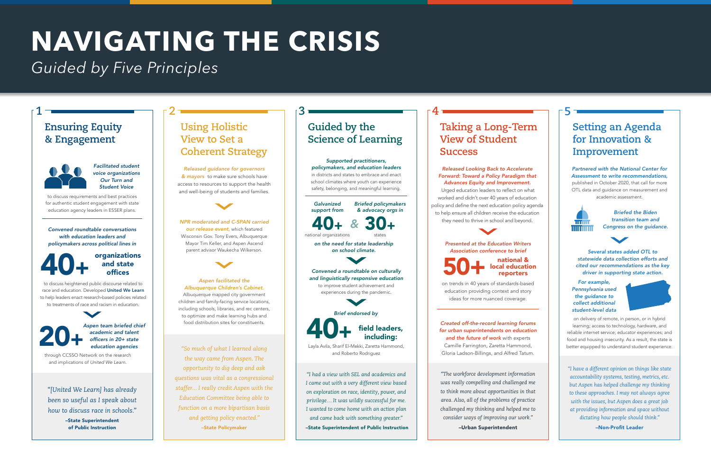# **NAVIGATING THE CRISIS**

*Guided by Five Principles*

*"So much of what I learned along the way came from Aspen. The opportunity to dig deep and ask questions was vital as a congressional staffer... I really credit Aspen with the Education Committee being able to function on a more bipartisan basis and getting policy enacted."* –State Policymaker

*Released guidance for governors & mayors* to make sure schools have access to resources to support the health and well-being of students and families.



## **Using Holistic View to Set a Coherent Strategy**

*Aspen facilitated the Albuquerque Children's Cabinet.* Albuquerque mapped city government children and family-facing service locations, including schools, libraries, and rec centers, to optimize and make learning hubs and food distribution sites for constituents.

50 + national & local education reporters

*NPR moderated and C-SPAN carried our release event,* which featured Wisconsin Gov. Tony Evers, Albuquerque Mayor Tim Keller, and Aspen Ascend parent advisor Waukecha Wilkerson.



**2**

*"The workforce development information was really compelling and challenged me to think more about opportunities in that area. Also, all of the problems of practice challenged my thinking and helped me to consider ways of improving our work."*

–Urban Superintendent

## **Taking a Long-Term View of Student Success**

*Presented at the Education Writers Association conference to brief*

on trends in 40 years of standards-based education providing context and story ideas for more nuanced coverage.

*Released Looking Back to Accelerate Forward: Toward a Policy Paradigm that Advances Equity and Improvement.*

 Urged education leaders to reflect on what worked and didn't over 40 years of education policy and define the next education policy agenda to help ensure all children receive the education they need to thrive in school and beyond.

**4**

*Created off-the-record learning forums for urban superintendents on education and the future of work* with experts Camille Farrington, Zaretta Hammond, Gloria Ladson-Billings, and Alfred Tatum.

*Supported practitioners, policymakers, and education leaders* in districts and states to embrace and enact school climates where youth can experience safety, belonging, and meaningful learning.

> *"I have a different opinion on things like state accountability systems, testing, metrics, etc. but Aspen has helped challenge my thinking to these approaches. I may not always agree with the issues, but Aspen does a great job at providing information and space without dictating how people should think."*

> > –Non-Profit Leader

## **Setting an Agenda for Innovation & Improvement**

## *Partnered with the National Center for Assessment to write recommendations,* published in October 2020, that call for more

OTL data and guidance on measurement and academic assessment.



*Briefed the Biden transition team and Congress on the guidance.*

**5**

*Several states added OTL to statewide data collection efforts and cited our recommendations as the key driver in supporting state action.*

*For example, Pennsylvania used the guidance to collect additional student-level data* 



on delivery of remote, in person, or in hybrid learning; access to technology, hardware, and reliable internet service; educator experiences; and food and housing insecurity. As a result, the state is better equipped to understand student experience.

*"[United We Learn] has already been so useful as I speak about how to discuss race in schools."*

–State Superintendent of Public Instruction

## **Ensuring Equity & Engagement**



**1**

*Facilitated student voice organizations Our Turn and Student Voice*

to discuss requirements and best practices for authentic student engagement with state education agency leaders in ESSER plans.

## 20+ *Aspen team briefed chief academic and talent*

*officers in 20+ state education agencies*

through CCSSO Network on the research and implications of *United We Learn.*

to discuss heightened public discourse related to race and education. Developed United We Learn to help leaders enact research-based policies related to treatments of race and racism in education.

*Convened roundtable conversations with education leaders and policymakers across political lines in*

## 40+ organizations and state offices

*"I had a view with SEL and academics and I came out with a very different view based on exploration on race, identity, power, and privilege… It was wildly successful for me. I wanted to come home with an action plan and came back with something greater."* –State Superintendent of Public Instruction

## **Guided by the Science of Learning**

**3**

*Galvanized support from Briefed policymakers & advocacy orgs in*

40+ 30+ *&*

national organizations states *on the need for state leadership* 

*on school climate.*

*Convened a roundtable on culturally and linguistically responsive education* to improve student achievement and experiences during the pandemic.

Layla Avila, Sharif El-Mekki, Zaretta Hammond, and Roberto Rodriguez